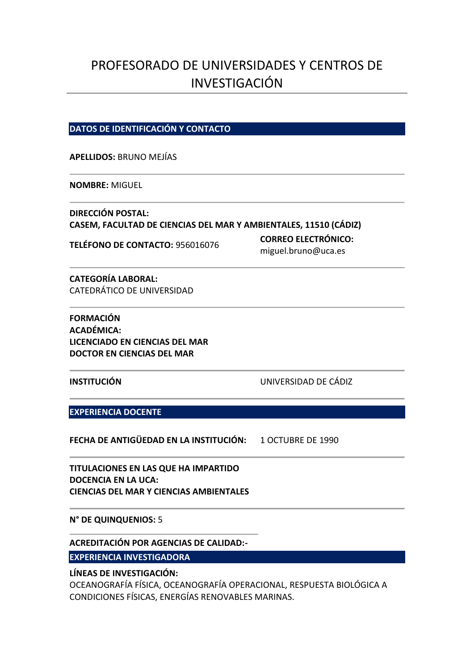# PROFESORADO DE UNIVERSIDADES Y CENTROS DE INVESTIGACIÓN

## **DATOS DE IDENTIFICACIÓN Y CONTACTO**

**APELLIDOS:** BRUNO MEJÍAS

**NOMBRE:** MIGUEL

**DIRECCIÓN POSTAL: CASEM, FACULTAD DE CIENCIAS DEL MAR Y AMBIENTALES, 11510 (CÁDIZ)**

**TELÉFONO DE CONTACTO:** <sup>956016076</sup> **CORREO ELECTRÓNICO:**  miguel.bruno@uca.es

**CATEGORÍA LABORAL:** CATEDRÁTICO DE UNIVERSIDAD

**FORMACIÓN ACADÉMICA: LICENCIADO EN CIENCIAS DEL MAR DOCTOR EN CIENCIAS DEL MAR**

**INSTITUCIÓN** UNIVERSIDAD DE CÁDIZ

**EXPERIENCIA DOCENTE**

**FECHA DE ANTIGÜEDAD EN LA INSTITUCIÓN:** 1 OCTUBRE DE 1990

**TITULACIONES EN LAS QUE HA IMPARTIDO DOCENCIA EN LA UCA: CIENCIAS DEL MAR Y CIENCIAS AMBIENTALES**

**N° DE QUINQUENIOS:** 5

**ACREDITACIÓN POR AGENCIAS DE CALIDAD:-**

**EXPERIENCIA INVESTIGADORA**

**LÍNEAS DE INVESTIGACIÓN:** 

OCEANOGRAFÍA FÍSICA, OCEANOGRAFÍA OPERACIONAL, RESPUESTA BIOLÓGICA A CONDICIONES FÍSICAS, ENERGÍAS RENOVABLES MARINAS.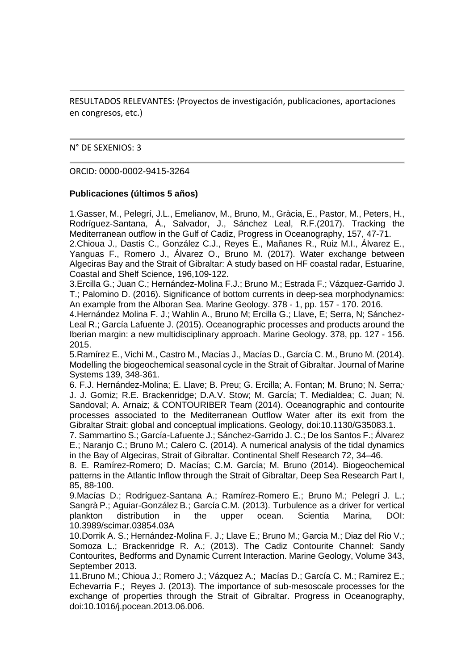RESULTADOS RELEVANTES: (Proyectos de investigación, publicaciones, aportaciones en congresos, etc.)

#### N° DE SEXENIOS: 3

#### ORCID: 0000-0002-9415-3264

## **Publicaciones (últimos 5 años)**

1.Gasser, M., Pelegrí, J.L., Emelianov, M., Bruno, M., Gràcia, E., Pastor, M., Peters, H., Rodríguez-Santana, Á., Salvador, J., Sánchez Leal, R.F.(2017). Tracking the Mediterranean outflow in the Gulf of Cadiz, Progress in Oceanography, 157, 47-71.

2.Chioua J., Dastis C., González C.J., Reyes E., Mañanes R., Ruiz M.I., Álvarez E., Yanguas F., Romero J., Álvarez O., Bruno M. (2017). Water exchange between Algeciras Bay and the Strait of Gibraltar: A study based on HF coastal radar, Estuarine, Coastal and Shelf Science, 196,109-122.

3.Ercilla G.; Juan C.; Hernández-Molina F.J.; Bruno M.; Estrada F.; Vázquez-Garrido J. T.; Palomino D. (2016). Significance of bottom currents in deep-sea morphodynamics: An example from the Alboran Sea. Marine Geology. 378 - 1, pp. 157 - 170. 2016.

4.Hernández Molina F. J.; Wahlin A., Bruno M; Ercilla G.; Llave, E; Serra, N; Sánchez-Leal R.; García Lafuente J. (2015). Oceanographic processes and products around the Iberian margin: a new multidisciplinary approach. Marine Geology. 378, pp. 127 - 156. 2015.

5.Ramírez E., Vichi M., Castro M., Macías J., Macías D., García C. M., Bruno M. (2014). Modelling the biogeochemical seasonal cycle in the Strait of Gibraltar. Journal of Marine Systems 139, 348-361.

6. F.J. Hernández-Molina; E. Llave; B. Preu; G. Ercilla; A. Fontan; M. Bruno; N. Serra; J. J. Gomiz; R.E. Brackenridge; D.A.V. Stow; M. García; T. Medialdea; C. Juan; N. Sandoval; A. Arnaiz; & CONTOURIBER Team (2014). Oceanographic and contourite processes associated to the Mediterranean Outflow Water after its exit from the Gibraltar Strait: global and conceptual implications. Geology, doi:10.1130/G35083.1.

7. Sammartino S.; García-Lafuente J.; Sánchez-Garrido J. C.; De los Santos F.; Álvarez E.; Naranjo C.; Bruno M.; Calero C. (2014). A numerical analysis of the tidal dynamics in the Bay of Algeciras, Strait of Gibraltar. Continental Shelf Research 72, 34–46.

8. E. Ramírez-Romero; D. Macías; C.M. García; M. Bruno (2014). Biogeochemical patterns in the Atlantic Inflow through the Strait of Gibraltar, Deep Sea Research Part I, 85, 88-100.

9.Macías D.; Rodríguez-Santana A.; Ramírez-Romero E.; Bruno M.; Pelegrí J. L.; Sangrà P.; Aguiar-González B.; García C.M. (2013). Turbulence as a driver for vertical plankton distribution in the upper ocean. Scientia Marina, DOI: 10.3989/scimar.03854.03A

10.Dorrik A. S.; Hernández-Molina F. J.; Llave E.; Bruno M.; Garcia M.; Diaz del Rio V.; Somoza L.; Brackenridge R. A.; (2013). The Cadiz Contourite Channel: Sandy Contourites, Bedforms and Dynamic Current Interaction. Marine Geology, Volume 343, September 2013.

11.Bruno M.; Chioua J.; Romero J.; Vázquez A.; Macías D.; García C. M.; Ramirez E.; Echevarria F.; Reyes J. (2013). The importance of sub-mesoscale processes for the exchange of properties through the Strait of Gibraltar. Progress in Oceanography, doi:10.1016/j.pocean.2013.06.006.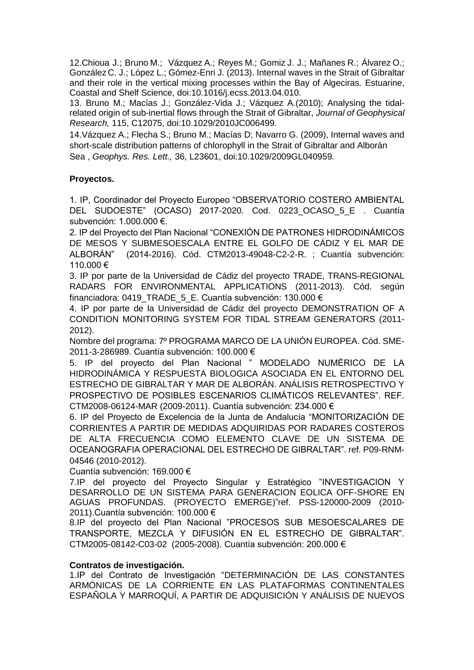12.Chioua J.; Bruno M.; Vázquez A.; Reyes M.; Gomiz J. J.; Mañanes R.; Álvarez O.; González C. J.; López L.; Gómez-Enri J. (2013). Internal waves in the Strait of Gibraltar and their role in the vertical mixing processes within the Bay of Algeciras. Estuarine, Coastal and Shelf Science, doi:10.1016/j.ecss.2013.04.010.

13. Bruno M.; Macías J.; González-Vida J.; Vázquez A.(2010); Analysing the tidalrelated origin of sub-inertial flows through the Strait of Gibraltar, *Journal of Geophysical Research,* 115, C12075, doi:10.1029/2010JC006499*.*

14.Vázquez A.; Flecha S.; Bruno M.; Macías D; Navarro G. (2009), Internal waves and short-scale distribution patterns of chlorophyll in the Strait of Gibraltar and Alborán Sea , *Geophys. Res. Lett.,* 36, L23601, doi:10.1029/2009GL040959*.*

## **Proyectos.**

1. IP, Coordinador del Proyecto Europeo "OBSERVATORIO COSTERO AMBIENTAL DEL SUDOESTE" (OCASO) 2017-2020. Cod. 0223 OCASO 5 E . Cuantía subvención: 1.000.000 €.

2. IP del Proyecto del Plan Nacional "CONEXIÓN DE PATRONES HIDRODINÁMICOS DE MESOS Y SUBMESOESCALA ENTRE EL GOLFO DE CÁDIZ Y EL MAR DE ALBORÁN" (2014-2016). Cód. CTM2013-49048-C2-2-R. ; Cuantía subvención: 110.000 €

3. IP por parte de la Universidad de Cádiz del proyecto TRADE, TRANS-REGIONAL RADARS FOR ENVIRONMENTAL APPLICATIONS (2011-2013). Cód. según financiadora: 0419\_TRADE\_5\_E. Cuantía subvención: 130.000 €

4. IP por parte de la Universidad de Cádiz del proyecto DEMONSTRATION OF A CONDITION MONITORING SYSTEM FOR TIDAL STREAM GENERATORS (2011- 2012).

Nombre del programa: 7º PROGRAMA MARCO DE LA UNIÓN EUROPEA. Cód. SME-2011-3-286989. Cuantía subvención: 100.000 €

5. IP del proyecto del Plan Nacional " MODELADO NUMÉRICO DE LA HIDRODINÁMICA Y RESPUESTA BIOLOGICA ASOCIADA EN EL ENTORNO DEL ESTRECHO DE GIBRALTAR Y MAR DE ALBORÁN. ANÁLISIS RETROSPECTIVO Y PROSPECTIVO DE POSIBLES ESCENARIOS CLIMÁTICOS RELEVANTES". REF. CTM2008-06124-MAR (2009-2011). Cuantía subvención: 234.000 €

6. IP del Proyecto de Excelencia de la Junta de Andalucía "MONITORIZACIÓN DE CORRIENTES A PARTIR DE MEDIDAS ADQUIRIDAS POR RADARES COSTEROS DE ALTA FRECUENCIA COMO ELEMENTO CLAVE DE UN SISTEMA DE OCEANOGRAFIA OPERACIONAL DEL ESTRECHO DE GIBRALTAR". ref. P09-RNM-04546 (2010-2012).

Cuantía subvención: 169.000 €

7.IP del proyecto del Proyecto Singular y Estratégico "INVESTIGACION Y DESARROLLO DE UN SISTEMA PARA GENERACION EOLICA OFF-SHORE EN AGUAS PROFUNDAS. (PROYECTO EMERGE)"ref. PSS-120000-2009 (2010- 2011).Cuantía subvención: 100.000 €

8.IP del proyecto del Plan Nacional "PROCESOS SUB MESOESCALARES DE TRANSPORTE, MEZCLA Y DIFUSIÓN EN EL ESTRECHO DE GIBRALTAR". CTM2005-08142-C03-02 (2005-2008). Cuantía subvención: 200.000 €

## **Contratos de investigación.**

1.IP del Contrato de Investigación "DETERMINACIÓN DE LAS CONSTANTES ARMÓNICAS DE LA CORRIENTE EN LAS PLATAFORMAS CONTINENTALES ESPAÑOLA Y MARROQUÍ, A PARTIR DE ADQUISICIÓN Y ANÁLISIS DE NUEVOS